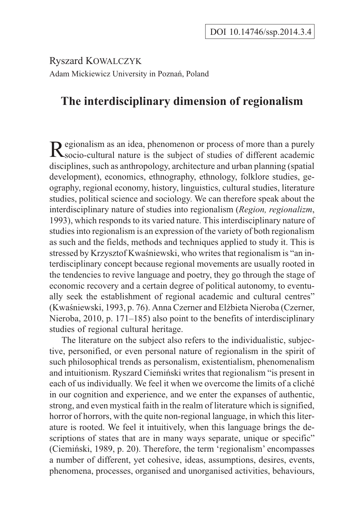Ryszard KOWALCZYK Adam Mickiewicz University in Poznañ, Poland

## **The interdisciplinary dimension of regionalism**

Regionalism as an idea, phenomenon or process of more than a purely socio-cultural nature is the subject of studies of different academic disciplines, such as anthropology, architecture and urban planning (spatial development), economics, ethnography, ethnology, folklore studies, geography, regional economy, history, linguistics, cultural studies, literature studies, political science and sociology. We can therefore speak about the interdisciplinary nature of studies into regionalism (*Region, regionalizm*, 1993), which responds to its varied nature. This interdisciplinary nature of studies into regionalism is an expression of the variety of both regionalism as such and the fields, methods and techniques applied to study it. This is stressed by Krzysztof Kwaśniewski, who writes that regionalism is "an interdisciplinary concept because regional movements are usually rooted in the tendencies to revive language and poetry, they go through the stage of economic recovery and a certain degree of political autonomy, to eventually seek the establishment of regional academic and cultural centres" (Kwaśniewski, 1993, p. 76). Anna Czerner and Elżbieta Nieroba (Czerner, Nieroba, 2010, p. 171–185) also point to the benefits of interdisciplinary studies of regional cultural heritage.

The literature on the subject also refers to the individualistic, subjective, personified, or even personal nature of regionalism in the spirit of such philosophical trends as personalism, existentialism, phenomenalism and intuitionism. Ryszard Ciemiñski writes that regionalism "is present in each of us individually. We feel it when we overcome the limits of a cliché in our cognition and experience, and we enter the expanses of authentic, strong, and even mystical faith in the realm of literature which is signified, horror of horrors, with the quite non-regional language, in which this literature is rooted. We feel it intuitively, when this language brings the descriptions of states that are in many ways separate, unique or specific" (Ciemiñski, 1989, p. 20). Therefore, the term 'regionalism' encompasses a number of different, yet cohesive, ideas, assumptions, desires, events, phenomena, processes, organised and unorganised activities, behaviours,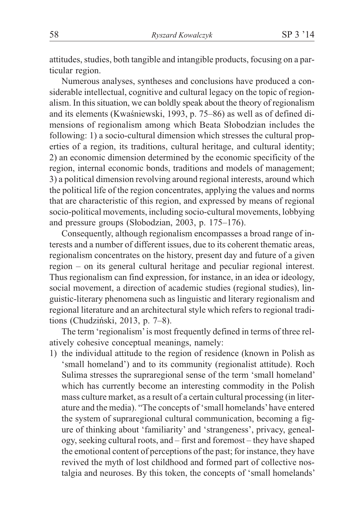attitudes, studies, both tangible and intangible products, focusing on a particular region.

Numerous analyses, syntheses and conclusions have produced a considerable intellectual, cognitive and cultural legacy on the topic of regionalism. In this situation, we can boldly speak about the theory of regionalism and its elements (Kwaśniewski, 1993, p. 75–86) as well as of defined dimensions of regionalism among which Beata Słobodzian includes the following: 1) a socio-cultural dimension which stresses the cultural properties of a region, its traditions, cultural heritage, and cultural identity; 2) an economic dimension determined by the economic specificity of the region, internal economic bonds, traditions and models of management; 3) a political dimension revolving around regional interests, around which the political life of the region concentrates, applying the values and norms that are characteristic of this region, and expressed by means of regional socio-political movements, including socio-cultural movements, lobbying and pressure groups (Słobodzian, 2003, p. 175–176).

Consequently, although regionalism encompasses a broad range of interests and a number of different issues, due to its coherent thematic areas, regionalism concentrates on the history, present day and future of a given region – on its general cultural heritage and peculiar regional interest. Thus regionalism can find expression, for instance, in an idea or ideology, social movement, a direction of academic studies (regional studies), linguistic-literary phenomena such as linguistic and literary regionalism and regional literature and an architectural style which refers to regional traditions (Chudziñski, 2013, p. 7–8).

The term 'regionalism'is most frequently defined in terms of three relatively cohesive conceptual meanings, namely:

1) the individual attitude to the region of residence (known in Polish as 'small homeland') and to its community (regionalist attitude). Roch Sulima stresses the supraregional sense of the term 'small homeland' which has currently become an interesting commodity in the Polish mass culture market, as a result of a certain cultural processing (in literature and the media). "The concepts of 'small homelands'have entered the system of supraregional cultural communication, becoming a figure of thinking about 'familiarity' and 'strangeness', privacy, genealogy, seeking cultural roots, and – first and foremost – they have shaped the emotional content of perceptions of the past; for instance, they have revived the myth of lost childhood and formed part of collective nostalgia and neuroses. By this token, the concepts of 'small homelands'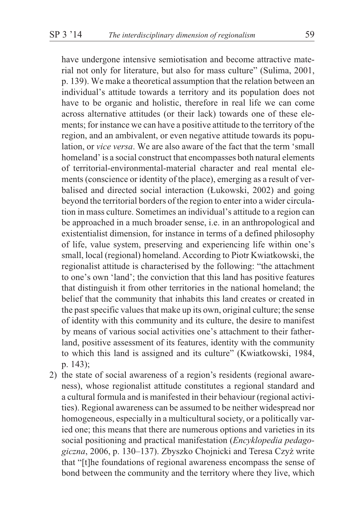have undergone intensive semiotisation and become attractive material not only for literature, but also for mass culture" (Sulima, 2001, p. 139). We make a theoretical assumption that the relation between an individual's attitude towards a territory and its population does not have to be organic and holistic, therefore in real life we can come across alternative attitudes (or their lack) towards one of these elements; for instance we can have a positive attitude to the territory of the region, and an ambivalent, or even negative attitude towards its population, or *vice versa*. We are also aware of the fact that the term 'small homeland' is a social construct that encompasses both natural elements of territorial-environmental-material character and real mental elements (conscience or identity of the place), emerging as a result of verbalised and directed social interaction (£ukowski, 2002) and going beyond the territorial borders of the region to enter into a wider circulation in mass culture. Sometimes an individual's attitude to a region can be approached in a much broader sense, i.e. in an anthropological and existentialist dimension, for instance in terms of a defined philosophy of life, value system, preserving and experiencing life within one's small, local (regional) homeland. According to Piotr Kwiatkowski, the regionalist attitude is characterised by the following: "the attachment to one's own 'land'; the conviction that this land has positive features that distinguish it from other territories in the national homeland; the belief that the community that inhabits this land creates or created in the past specific values that make up its own, original culture; the sense of identity with this community and its culture, the desire to manifest by means of various social activities one's attachment to their fatherland, positive assessment of its features, identity with the community to which this land is assigned and its culture" (Kwiatkowski, 1984, p. 143);

2) the state of social awareness of a region's residents (regional awareness), whose regionalist attitude constitutes a regional standard and a cultural formula and is manifested in their behaviour (regional activities). Regional awareness can be assumed to be neither widespread nor homogeneous, especially in a multicultural society, or a politically varied one; this means that there are numerous options and varieties in its social positioning and practical manifestation (*Encyklopedia pedagogiczna*, 2006, p. 130–137). Zbyszko Chojnicki and Teresa Czy¿ write that "[t]he foundations of regional awareness encompass the sense of bond between the community and the territory where they live, which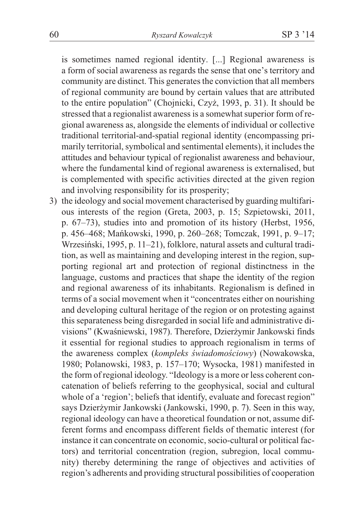is sometimes named regional identity. [...] Regional awareness is a form of social awareness as regards the sense that one's territory and community are distinct. This generates the conviction that all members of regional community are bound by certain values that are attributed to the entire population" (Chojnicki, Czy¿, 1993, p. 31). It should be stressed that a regionalist awareness is a somewhat superior form of regional awareness as, alongside the elements of individual or collective traditional territorial-and-spatial regional identity (encompassing primarily territorial, symbolical and sentimental elements), it includes the attitudes and behaviour typical of regionalist awareness and behaviour, where the fundamental kind of regional awareness is externalised, but is complemented with specific activities directed at the given region and involving responsibility for its prosperity;

3) the ideology and social movement characterised by guarding multifarious interests of the region (Greta, 2003, p. 15; Szpietowski, 2011, p. 67–73), studies into and promotion of its history (Herbst, 1956, p. 456–468; Mañkowski, 1990, p. 260–268; Tomczak, 1991, p. 9–17; Wrzesiñski, 1995, p. 11–21), folklore, natural assets and cultural tradition, as well as maintaining and developing interest in the region, supporting regional art and protection of regional distinctness in the language, customs and practices that shape the identity of the region and regional awareness of its inhabitants. Regionalism is defined in terms of a social movement when it "concentrates either on nourishing and developing cultural heritage of the region or on protesting against this separateness being disregarded in social life and administrative divisions" (Kwaśniewski, 1987). Therefore, Dzierżymir Jankowski finds it essential for regional studies to approach regionalism in terms of the awareness complex (*kompleks świadomościowy*) (Nowakowska, 1980; Polanowski, 1983, p. 157–170; Wysocka, 1981) manifested in the form of regional ideology. "Ideology is a more or less coherent concatenation of beliefs referring to the geophysical, social and cultural whole of a 'region'; beliefs that identify, evaluate and forecast region" says Dzierżymir Jankowski (Jankowski, 1990, p. 7). Seen in this way, regional ideology can have a theoretical foundation or not, assume different forms and encompass different fields of thematic interest (for instance it can concentrate on economic, socio-cultural or political factors) and territorial concentration (region, subregion, local community) thereby determining the range of objectives and activities of region's adherents and providing structural possibilities of cooperation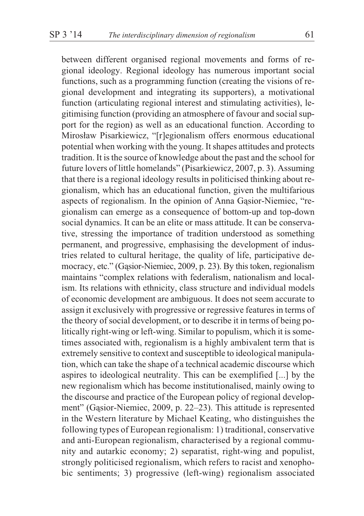between different organised regional movements and forms of regional ideology. Regional ideology has numerous important social functions, such as a programming function (creating the visions of regional development and integrating its supporters), a motivational function (articulating regional interest and stimulating activities), legitimising function (providing an atmosphere of favour and social support for the region) as well as an educational function. According to Mirosław Pisarkiewicz, "[r]egionalism offers enormous educational potential when working with the young. It shapes attitudes and protects tradition. It is the source of knowledge about the past and the school for future lovers of little homelands" (Pisarkiewicz, 2007, p. 3). Assuming that there is a regional ideology results in politicised thinking about regionalism, which has an educational function, given the multifarious aspects of regionalism. In the opinion of Anna Gasior-Niemiec, "regionalism can emerge as a consequence of bottom-up and top-down social dynamics. It can be an elite or mass attitude. It can be conservative, stressing the importance of tradition understood as something permanent, and progressive, emphasising the development of industries related to cultural heritage, the quality of life, participative democracy, etc." (Gasior-Niemiec, 2009, p. 23). By this token, regionalism maintains "complex relations with federalism, nationalism and localism. Its relations with ethnicity, class structure and individual models of economic development are ambiguous. It does not seem accurate to assign it exclusively with progressive or regressive features in terms of the theory of social development, or to describe it in terms of being politically right-wing or left-wing. Similar to populism, which it is sometimes associated with, regionalism is a highly ambivalent term that is extremely sensitive to context and susceptible to ideological manipulation, which can take the shape of a technical academic discourse which aspires to ideological neutrality. This can be exemplified [...] by the new regionalism which has become institutionalised, mainly owing to the discourse and practice of the European policy of regional development" (Gasior-Niemiec, 2009, p. 22–23). This attitude is represented in the Western literature by Michael Keating, who distinguishes the following types of European regionalism: 1) traditional, conservative and anti-European regionalism, characterised by a regional community and autarkic economy; 2) separatist, right-wing and populist, strongly politicised regionalism, which refers to racist and xenophobic sentiments; 3) progressive (left-wing) regionalism associated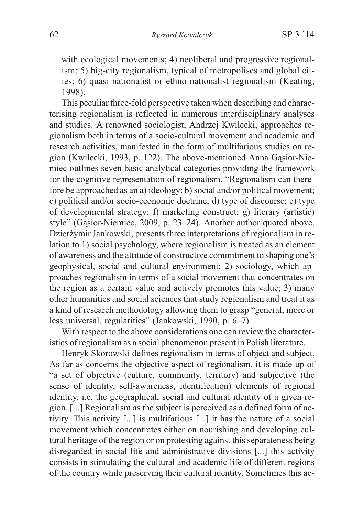with ecological movements; 4) neoliberal and progressive regionalism; 5) big-city regionalism, typical of metropolises and global cities; 6) quasi-nationalist or ethno-nationalist regionalism (Keating, 1998).

This peculiar three-fold perspective taken when describing and characterising regionalism is reflected in numerous interdisciplinary analyses and studies. A renowned sociologist, Andrzej Kwilecki, approaches regionalism both in terms of a socio-cultural movement and academic and research activities, manifested in the form of multifarious studies on region (Kwilecki, 1993, p. 122). The above-mentioned Anna Gasior-Niemiec outlines seven basic analytical categories providing the framework for the cognitive representation of regionalism. "Regionalism can therefore be approached as an a) ideology; b) social and/or political movement; c) political and/or socio-economic doctrine; d) type of discourse; e) type of developmental strategy; f) marketing construct; g) literary (artistic) style" (Gasior-Niemiec, 2009, p. 23–24). Another author quoted above, Dzierżymir Jankowski, presents three interpretations of regionalism in relation to 1) social psychology, where regionalism is treated as an element of awareness and the attitude of constructive commitment to shaping one's geophysical, social and cultural environment; 2) sociology, which approaches regionalism in terms of a social movement that concentrates on the region as a certain value and actively promotes this value; 3) many other humanities and social sciences that study regionalism and treat it as a kind of research methodology allowing them to grasp "general, more or less universal, regularities" (Jankowski, 1990, p. 6–7).

With respect to the above considerations one can review the characteristics of regionalism as a social phenomenon present in Polish literature.

Henryk Skorowski defines regionalism in terms of object and subject. As far as concerns the objective aspect of regionalism, it is made up of "a set of objective (culture, community, territory) and subjective (the sense of identity, self-awareness, identification) elements of regional identity, i.e. the geographical, social and cultural identity of a given region. [...] Regionalism as the subject is perceived as a defined form of activity. This activity [...] is multifarious [...] it has the nature of a social movement which concentrates either on nourishing and developing cultural heritage of the region or on protesting against this separateness being disregarded in social life and administrative divisions [...] this activity consists in stimulating the cultural and academic life of different regions of the country while preserving their cultural identity. Sometimes this ac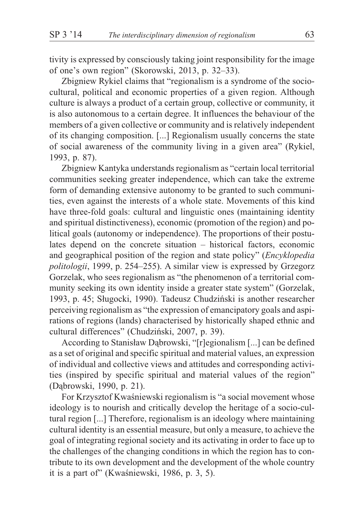tivity is expressed by consciously taking joint responsibility for the image of one's own region" (Skorowski, 2013, p. 32–33).

Zbigniew Rykiel claims that "regionalism is a syndrome of the sociocultural, political and economic properties of a given region. Although culture is always a product of a certain group, collective or community, it is also autonomous to a certain degree. It influences the behaviour of the members of a given collective or community and is relatively independent of its changing composition. [...] Regionalism usually concerns the state of social awareness of the community living in a given area" (Rykiel, 1993, p. 87).

Zbigniew Kantyka understands regionalism as "certain local territorial communities seeking greater independence, which can take the extreme form of demanding extensive autonomy to be granted to such communities, even against the interests of a whole state. Movements of this kind have three-fold goals: cultural and linguistic ones (maintaining identity and spiritual distinctiveness), economic (promotion of the region) and political goals (autonomy or independence). The proportions of their postulates depend on the concrete situation – historical factors, economic and geographical position of the region and state policy" (*Encyklopedia politologii*, 1999, p. 254–255). A similar view is expressed by Grzegorz Gorzelak, who sees regionalism as "the phenomenon of a territorial community seeking its own identity inside a greater state system" (Gorzelak, 1993, p. 45; Sługocki, 1990). Tadeusz Chudziński is another researcher perceiving regionalism as "the expression of emancipatory goals and aspirations of regions (lands) characterised by historically shaped ethnic and cultural differences" (Chudziñski, 2007, p. 39).

According to Stanisław Dąbrowski, "[r]egionalism [...] can be defined as a set of original and specific spiritual and material values, an expression of individual and collective views and attitudes and corresponding activities (inspired by specific spiritual and material values of the region" (Dąbrowski, 1990, p. 21).

For Krzysztof Kwaśniewski regionalism is "a social movement whose ideology is to nourish and critically develop the heritage of a socio-cultural region [...] Therefore, regionalism is an ideology where maintaining cultural identity is an essential measure, but only a measure, to achieve the goal of integrating regional society and its activating in order to face up to the challenges of the changing conditions in which the region has to contribute to its own development and the development of the whole country it is a part of" (Kwaśniewski, 1986, p. 3, 5).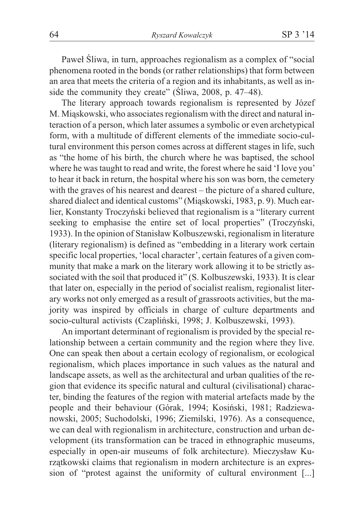Paweł Śliwa, in turn, approaches regionalism as a complex of "social" phenomena rooted in the bonds (or rather relationships) that form between an area that meets the criteria of a region and its inhabitants, as well as inside the community they create" ( $\text{Siwa}$ , 2008, p. 47–48).

The literary approach towards regionalism is represented by Józef M. Miąskowski, who associates regionalism with the direct and natural interaction of a person, which later assumes a symbolic or even archetypical form, with a multitude of different elements of the immediate socio-cultural environment this person comes across at different stages in life, such as "the home of his birth, the church where he was baptised, the school where he was taught to read and write, the forest where he said 'I love you' to hear it back in return, the hospital where his son was born, the cemetery with the graves of his nearest and dearest – the picture of a shared culture, shared dialect and identical customs" (Miąskowski, 1983, p. 9). Much earlier, Konstanty Troczyñski believed that regionalism is a "literary current seeking to emphasise the entire set of local properties" (Troczyñski, 1933). In the opinion of Stanisław Kolbuszewski, regionalism in literature (literary regionalism) is defined as "embedding in a literary work certain specific local properties, 'local character', certain features of a given community that make a mark on the literary work allowing it to be strictly associated with the soil that produced it" (S. Kolbuszewski, 1933). It is clear that later on, especially in the period of socialist realism, regionalist literary works not only emerged as a result of grassroots activities, but the majority was inspired by officials in charge of culture departments and socio-cultural activists (Czapliñski, 1998; J. Kolbuszewski, 1993).

An important determinant of regionalism is provided by the special relationship between a certain community and the region where they live. One can speak then about a certain ecology of regionalism, or ecological regionalism, which places importance in such values as the natural and landscape assets, as well as the architectural and urban qualities of the region that evidence its specific natural and cultural (civilisational) character, binding the features of the region with material artefacts made by the people and their behaviour (Górak, 1994; Kosiñski, 1981; Radziewanowski, 2005; Suchodolski, 1996; Ziemilski, 1976). As a consequence, we can deal with regionalism in architecture, construction and urban development (its transformation can be traced in ethnographic museums, especially in open-air museums of folk architecture). Mieczysław Kurzątkowski claims that regionalism in modern architecture is an expression of "protest against the uniformity of cultural environment [...]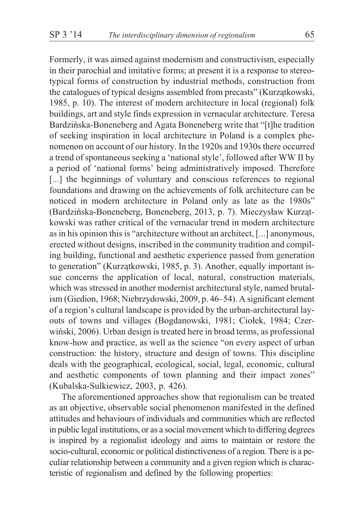Formerly, it was aimed against modernism and constructivism, especially

in their parochial and imitative forms; at present it is a response to stereotypical forms of construction by industrial methods, construction from the catalogues of typical designs assembled from precasts" (Kurzątkowski, 1985, p. 10). The interest of modern architecture in local (regional) folk buildings, art and style finds expression in vernacular architecture. Teresa Bardziñska-Boneneberg and Agata Boneneberg write that "[t]he tradition of seeking inspiration in local architecture in Poland is a complex phenomenon on account of our history. In the 1920s and 1930s there occurred a trend of spontaneous seeking a 'national style', followed after WW II by a period of 'national forms' being administratively imposed. Therefore [...] the beginnings of voluntary and conscious references to regional foundations and drawing on the achievements of folk architecture can be noticed in modern architecture in Poland only as late as the 1980s" (Bardzińska-Boneneberg, Boneneberg, 2013, p. 7). Mieczysław Kurzątkowski was rather critical of the vernacular trend in modern architecture as in his opinion this is "architecture without an architect, [...] anonymous, erected without designs, inscribed in the community tradition and compiling building, functional and aesthetic experience passed from generation to generation" (Kurzątkowski, 1985, p. 3). Another, equally important issue concerns the application of local, natural, construction materials, which was stressed in another modernist architectural style, named brutalism (Giedion, 1968; Niebrzydowski, 2009, p. 46–54). A significant element of a region's cultural landscape is provided by the urban-architectural layouts of towns and villages (Bogdanowski, 1981; Ciołek, 1984; Czerwiñski, 2006). Urban design is treated here in broad terms, as professional know-how and practice, as well as the science "on every aspect of urban construction: the history, structure and design of towns. This discipline deals with the geographical, ecological, social, legal, economic, cultural and aesthetic components of town planning and their impact zones" (Kubalska-Sulkiewicz, 2003, p. 426).

The aforementioned approaches show that regionalism can be treated as an objective, observable social phenomenon manifested in the defined attitudes and behaviours of individuals and communities which are reflected in public legal institutions, or as a social movement which to differing degrees is inspired by a regionalist ideology and aims to maintain or restore the socio-cultural, economic or political distinctiveness of a region. There is a peculiar relationship between a community and a given region which is characteristic of regionalism and defined by the following properties: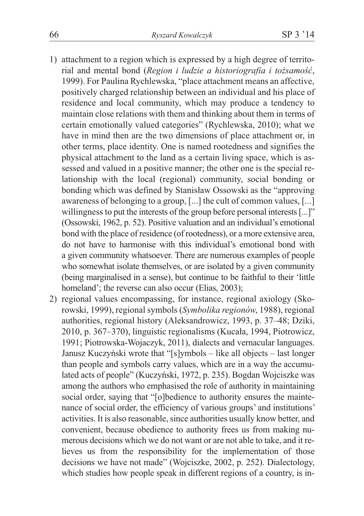- 1) attachment to a region which is expressed by a high degree of territorial and mental bond (*Region i ludzie a historiografia i tożsamość*, 1999). For Paulina Rychlewska, "place attachment means an affective, positively charged relationship between an individual and his place of residence and local community, which may produce a tendency to maintain close relations with them and thinking about them in terms of certain emotionally valued categories" (Rychlewska, 2010); what we have in mind then are the two dimensions of place attachment or, in other terms, place identity. One is named rootedness and signifies the physical attachment to the land as a certain living space, which is assessed and valued in a positive manner; the other one is the special relationship with the local (regional) community, social bonding or bonding which was defined by Stanisław Ossowski as the "approving" awareness of belonging to a group, [...] the cult of common values, [...] willingness to put the interests of the group before personal interests [...]" (Ossowski, 1962, p. 52). Positive valuation and an individual's emotional bond with the place of residence (of rootedness), or a more extensive area, do not have to harmonise with this individual's emotional bond with a given community whatsoever. There are numerous examples of people who somewhat isolate themselves, or are isolated by a given community (being marginalised in a sense), but continue to be faithful to their 'little homeland'; the reverse can also occur (Elias, 2003);
- 2) regional values encompassing, for instance, regional axiology (Skorowski, 1999), regional symbols (*Symbolika regionów*, 1988), regional authorities, regional history (Aleksandrowicz, 1993, p. 37–48; Dziki, 2010, p. 367–370), linguistic regionalisms (Kucała, 1994, Piotrowicz, 1991; Piotrowska-Wojaczyk, 2011), dialects and vernacular languages. Janusz Kuczyñski wrote that "[s]ymbols – like all objects – last longer than people and symbols carry values, which are in a way the accumulated acts of people" (Kuczyñski, 1972, p. 235). Bogdan Wojciszke was among the authors who emphasised the role of authority in maintaining social order, saying that "[o]bedience to authority ensures the maintenance of social order, the efficiency of various groups' and institutions' activities. It is also reasonable, since authorities usually know better, and convenient, because obedience to authority frees us from making numerous decisions which we do not want or are not able to take, and it relieves us from the responsibility for the implementation of those decisions we have not made" (Wojciszke, 2002, p. 252). Dialectology, which studies how people speak in different regions of a country, is in-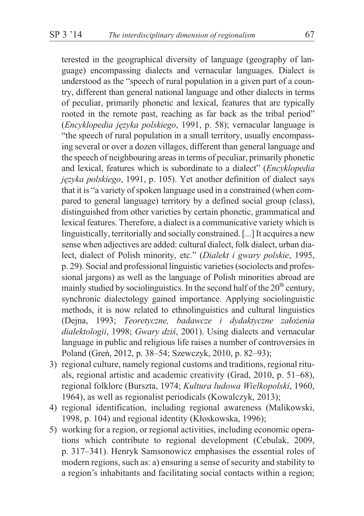terested in the geographical diversity of language (geography of language) encompassing dialects and vernacular languages. Dialect is understood as the "speech of rural population in a given part of a country, different than general national language and other dialects in terms of peculiar, primarily phonetic and lexical, features that are typically rooted in the remote past, reaching as far back as the tribal period" (*Encyklopedia jêzyka polskiego*, 1991, p. 58); vernacular language is "the speech of rural population in a small territory, usually encompassing several or over a dozen villages, different than general language and the speech of neighbouring areas in terms of peculiar, primarily phonetic and lexical, features which is subordinate to a dialect" (*Encyklopedia jêzyka polskiego*, 1991, p. 105). Yet another definition of dialect says that it is "a variety of spoken language used in a constrained (when compared to general language) territory by a defined social group (class), distinguished from other varieties by certain phonetic, grammatical and lexical features. Therefore, a dialect is a communicative variety which is linguistically, territorially and socially constrained. [...] It acquires a new sense when adjectives are added: cultural dialect, folk dialect, urban dialect, dialect of Polish minority, etc." (*Dialekt i gwary polskie*, 1995, p. 29). Social and professional linguistic varieties (sociolects and professional jargons) as well as the language of Polish minorities abroad are mainly studied by sociolinguistics. In the second half of the  $20<sup>th</sup>$  century, synchronic dialectology gained importance. Applying sociolinguistic methods, it is now related to ethnolinguistics and cultural linguistics (Dejna, 1993; *Teoretyczne*, badawcze i dydaktyczne założenia *dialektologii*, 1998; *Gwary dziś*, 2001). Using dialects and vernacular language in public and religious life raises a number of controversies in Poland (Greñ, 2012, p. 38–54; Szewczyk, 2010, p. 82–93);

- 3) regional culture, namely regional customs and traditions, regional rituals, regional artistic and academic creativity (Grad, 2010, p. 51–68), regional folklore (Burszta, 1974; *Kultura ludowa Wielkopolski*, 1960, 1964), as well as regionalist periodicals (Kowalczyk, 2013);
- 4) regional identification, including regional awareness (Malikowski, 1998, p. 104) and regional identity (Kłoskowska, 1996);
- 5) working for a region, or regional activities, including economic operations which contribute to regional development (Cebulak, 2009, p. 317–341). Henryk Samsonowicz emphasises the essential roles of modern regions, such as: a) ensuring a sense of security and stability to a region's inhabitants and facilitating social contacts within a region;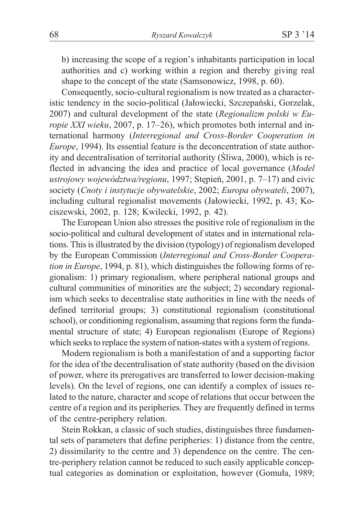b) increasing the scope of a region's inhabitants participation in local authorities and c) working within a region and thereby giving real shape to the concept of the state (Samsonowicz, 1998, p. 60).

Consequently, socio-cultural regionalism is now treated as a characteristic tendency in the socio-political (Jałowiecki, Szczepański, Gorzelak, 2007) and cultural development of the state (*Regionalizm polski w Europie XXI wieku*, 2007, p. 17–26), which promotes both internal and international harmony (*Interregional and Cross-Border Cooperation in Europe*, 1994). Its essential feature is the deconcentration of state authority and decentralisation of territorial authority (Sliwa, 2000), which is reflected in advancing the idea and practice of local governance (*Model* ustrojowy województwa/regionu, 1997; Stepień, 2001, p. 7–17) and civic society (*Cnoty i instytucje obywatelskie*, 2002; *Europa obywateli*, 2007), including cultural regionalist movements (Jałowiecki, 1992, p. 43; Kociszewski, 2002, p. 128; Kwilecki, 1992, p. 42).

The European Union also stresses the positive role of regionalism in the socio-political and cultural development of states and in international relations. This is illustrated by the division (typology) of regionalism developed by the European Commission (*Interregional and Cross-Border Cooperation in Europe*, 1994, p. 81), which distinguishes the following forms of regionalism: 1) primary regionalism, where peripheral national groups and cultural communities of minorities are the subject; 2) secondary regionalism which seeks to decentralise state authorities in line with the needs of defined territorial groups; 3) constitutional regionalism (constitutional school), or conditioning regionalism, assuming that regions form the fundamental structure of state; 4) European regionalism (Europe of Regions) which seeks to replace the system of nation-states with a system of regions.

Modern regionalism is both a manifestation of and a supporting factor for the idea of the decentralisation of state authority (based on the division of power, where its prerogatives are transferred to lower decision-making levels). On the level of regions, one can identify a complex of issues related to the nature, character and scope of relations that occur between the centre of a region and its peripheries. They are frequently defined in terms of the centre-periphery relation.

Stein Rokkan, a classic of such studies, distinguishes three fundamental sets of parameters that define peripheries: 1) distance from the centre, 2) dissimilarity to the centre and 3) dependence on the centre. The centre-periphery relation cannot be reduced to such easily applicable conceptual categories as domination or exploitation, however (Gomuła, 1989;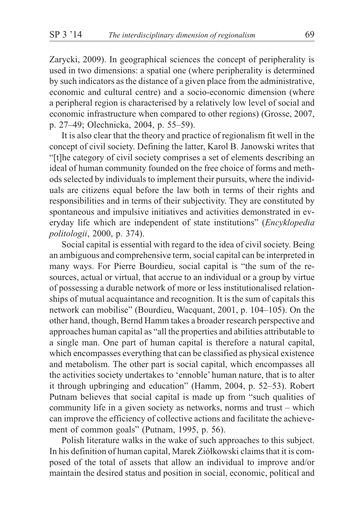Zarycki, 2009). In geographical sciences the concept of peripherality is used in two dimensions: a spatial one (where peripherality is determined by such indicators as the distance of a given place from the administrative, economic and cultural centre) and a socio-economic dimension (where a peripheral region is characterised by a relatively low level of social and economic infrastructure when compared to other regions) (Grosse, 2007, p. 27–49; Olechnicka, 2004, p. 55–59).

It is also clear that the theory and practice of regionalism fit well in the concept of civil society. Defining the latter, Karol B. Janowski writes that "[t]he category of civil society comprises a set of elements describing an ideal of human community founded on the free choice of forms and methods selected by individuals to implement their pursuits, where the individuals are citizens equal before the law both in terms of their rights and responsibilities and in terms of their subjectivity. They are constituted by spontaneous and impulsive initiatives and activities demonstrated in everyday life which are independent of state institutions" (*Encyklopedia politologii*, 2000, p. 374).

Social capital is essential with regard to the idea of civil society. Being an ambiguous and comprehensive term, social capital can be interpreted in many ways. For Pierre Bourdieu, social capital is "the sum of the resources, actual or virtual, that accrue to an individual or a group by virtue of possessing a durable network of more or less institutionalised relationships of mutual acquaintance and recognition. It is the sum of capitals this network can mobilise" (Bourdieu, Wacquant, 2001, p. 104–105). On the other hand, though, Bernd Hamm takes a broader research perspective and approaches human capital as "all the properties and abilities attributable to a single man. One part of human capital is therefore a natural capital, which encompasses everything that can be classified as physical existence and metabolism. The other part is social capital, which encompasses all the activities society undertakes to 'ennoble' human nature, that is to alter it through upbringing and education" (Hamm, 2004, p. 52–53). Robert Putnam believes that social capital is made up from "such qualities of community life in a given society as networks, norms and trust – which can improve the efficiency of collective actions and facilitate the achievement of common goals" (Putnam, 1995, p. 56).

Polish literature walks in the wake of such approaches to this subject. In his definition of human capital, Marek Ziółkowski claims that it is composed of the total of assets that allow an individual to improve and/or maintain the desired status and position in social, economic, political and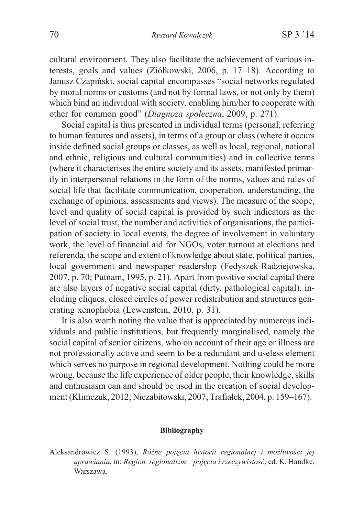cultural environment. They also facilitate the achievement of various interests, goals and values (Ziółkowski, 2006, p. 17-18). According to Janusz Czapiñski, social capital encompasses "social networks regulated by moral norms or customs (and not by formal laws, or not only by them) which bind an individual with society, enabling him/her to cooperate with other for common good" (*Diagnoza społeczna*, 2009, p. 271).

Social capital is thus presented in individual terms (personal, referring to human features and assets), in terms of a group or class (where it occurs inside defined social groups or classes, as well as local, regional, national and ethnic, religious and cultural communities) and in collective terms (where it characterises the entire society and its assets, manifested primarily in interpersonal relations in the form of the norms, values and rules of social life that facilitate communication, cooperation, understanding, the exchange of opinions, assessments and views). The measure of the scope, level and quality of social capital is provided by such indicators as the level of social trust, the number and activities of organisations, the participation of society in local events, the degree of involvement in voluntary work, the level of financial aid for NGOs, voter turnout at elections and referenda, the scope and extent of knowledge about state, political parties, local government and newspaper readership (Fedyszek-Radziejowska, 2007, p. 70; Putnam, 1995, p. 21). Apart from positive social capital there are also layers of negative social capital (dirty, pathological capital), including cliques, closed circles of power redistribution and structures generating xenophobia (Lewenstein, 2010, p. 31).

It is also worth noting the value that is appreciated by numerous individuals and public institutions, but frequently marginalised, namely the social capital of senior citizens, who on account of their age or illness are not professionally active and seem to be a redundant and useless element which serves no purpose in regional development. Nothing could be more wrong, because the life experience of older people, their knowledge, skills and enthusiasm can and should be used in the creation of social development (Klimczuk, 2012; Niezabitowski, 2007; Trafia³ek, 2004, p. 159–167).

## **Bibliography**

Aleksandrowicz S. (1993), *Różne pojęcia historii regionalnej i możliwości jej uprawiania*, in: *Region, regionalizm – pojecia i rzeczywistość*, ed. K. Handke, Warszawa.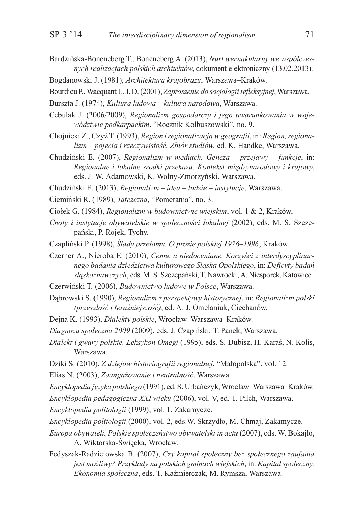- Bardzińska-Boneneberg T., Boneneberg A. (2013), *Nurt wernakularny we współczesnych realizacjach polskich architektów*, dokument elektroniczny (13.02.2013).
- Bogdanowski J. (1981), *Architektura krajobrazu*, Warszawa–Kraków.
- Bourdieu P., Wacquant L. J. D. (2001), *Zaproszenie do socjologii refleksyjnej*, Warszawa.
- Burszta J. (1974), *Kultura ludowa kultura narodowa*, Warszawa.
- Cebulak J. (2006/2009), *Regionalizm gospodarczy i jego uwarunkowania w województwie podkarpackim*, "Rocznik Kolbuszowski", no. 9.
- Chojnicki Z., Czy¿ T. (1993), *Region i regionalizacja w geografii*, in: *Region, regionalizm – pojêcia i rzeczywistoœæ. Zbiór studiów*, ed. K. Handke, Warszawa.
- Chudziñski E. (2007), *Regionalizm w mediach. Geneza przejawy funkcje*, in: *Regionalne i lokalne œrodki przekazu. Kontekst miêdzynarodowy i krajowy*, eds. J. W. Adamowski, K. Wolny-Zmorzyñski, Warszawa.
- Chudziñski E. (2013), *Regionalizm idea ludzie instytucje*, Warszawa.
- Ciemiñski R. (1989), *Tatczezna*, "Pomerania", no. 3.
- Cio³ek G. (1984), *Regionalizm w budownictwie wiejskim*, vol. 1 & 2, Kraków.
- *Cnoty i instytucje obywatelskie w spo³ecznoœci lokalnej* (2002), eds. M. S. Szczepañski, P. Rojek, Tychy.
- Czapliński P. (1998), Ślady przełomu. O prozie polskiej 1976–1996, Kraków.
- Czerner A., Nieroba E. (2010), *Cenne a niedoceniane. Korzyści z interdyscyplinarnego badania dziedzictwa kulturowego Œl¹ska Opolskiego*, in: *Deficyty badañ œl¹skoznawczych*, eds. M. S. Szczepañski, T. Nawrocki, A. Niesporek, Katowice.
- Czerwiñski T. (2006), *Budownictwo ludowe w Polsce*, Warszawa.
- Dabrowski S. (1990), *Regionalizm z perspektywy historycznej*, in: *Regionalizm polski (przesz³oœæ i teraŸniejszoœæ)*, ed. A. J. Omelaniuk, Ciechanów.
- Dejna K. (1993), *Dialekty polskie*, Wrocław–Warszawa–Kraków.

*Diagnoza spo³eczna 2009* (2009), eds. J. Czapiñski, T. Panek, Warszawa.

- *Dialekt i gwary polskie. Leksykon Omegi* (1995), eds. S. Dubisz, H. Karaœ, N. Kolis, Warszawa.
- Dziki S. (2010), *Z dziejów historiografii regionalnej*, "Małopolska", vol. 12.
- Elias N. (2003), *Zaangażowanie i neutralność*, Warszawa.
- *Encyklopedia jêzyka polskiego* (1991), ed. S. Urbañczyk, Wroc³aw–Warszawa–Kraków.
- *Encyklopedia pedagogiczna XXI wieku* (2006), vol. V, ed. T. Pilch, Warszawa.
- *Encyklopedia politologii* (1999), vol. 1, Zakamycze.
- *Encyklopedia politologii* (2000), vol. 2, eds.W. Skrzyd³o, M. Chmaj, Zakamycze.
- *Europa obywateli. Polskie społeczeństwo obywatelski in actu* (2007), eds. W. Bokajło, A. Wiktorska-Święcka, Wrocław.
- Fedyszak-Radziejowska B. (2007), *Czy kapitał społeczny bez społecznego zaufania jest możliwy? Przykłady na polskich gminach wiejskich*, in: *Kapitał społeczny*. *Ekonomia społeczna*, eds. T. Kaźmierczak, M. Rymsza, Warszawa.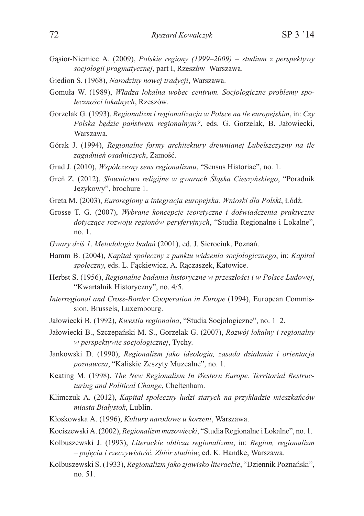- Gasior-Niemiec A. (2009), *Polskie regiony (1999–2009) studium z perspektywy socjologii pragmatycznej*, part I, Rzeszów–Warszawa.
- Giedion S. (1968), *Narodziny nowej tradycji*, Warszawa.
- Gomuła W. (1989), *Władza lokalna wobec centrum. Socjologiczne problemy spo-³ecznoœci lokalnych*, Rzeszów.
- Gorzelak G. (1993), *Regionalizm i regionalizacja w Polsce na tle europejskim*, in: *Czy* Polska bedzie państwem regionalnym?, eds. G. Gorzelak, B. Jałowiecki, Warszawa.
- Górak J. (1994), *Regionalne formy architektury drewnianej Lubelszczyzny na tle* zagadnień osadniczych, Zamość.
- Grad J. (2010), *Współczesny sens regionalizmu*, "Sensus Historiae", no. 1.
- Greń Z. (2012), *Słownictwo religijne w gwarach Śląska Cieszyńskiego*, "Poradnik Językowy", brochure 1.
- Greta M. (2003), *Euroregiony a integracja europejska. Wnioski dla Polski*, Łódź.
- Grosse T. G. (2007), *Wybrane koncepcje teoretyczne i doświadczenia praktyczne* dotyczące rozwoju regionów peryferyjnych, "Studia Regionalne i Lokalne", no. 1.
- *Gwary dziœ 1*. *Metodologia badañ* (2001), ed. J. Sierociuk, Poznañ.
- Hamm B. (2004), *Kapitał społeczny z punktu widzenia socjologicznego*, in: *Kapitał* społeczny, eds. L. Fackiewicz, A. Raczaszek, Katowice.
- Herbst S. (1956), *Regionalne badania historyczne w przeszłości i w Polsce Ludowej*, "Kwartalnik Historyczny", no. 4/5.
- *Interregional and Cross-Border Cooperation in Europe* (1994), European Commission, Brussels, Luxembourg.
- Jałowiecki B. (1992), *Kwestia regionalna*, "Studia Socjologiczne", no. 1–2.
- Ja³owiecki B., Szczepañski M. S., Gorzelak G. (2007), *Rozwój lokalny i regionalny w perspektywie socjologicznej*, Tychy.
- Jankowski D. (1990), *Regionalizm jako ideologia, zasada działania i orientacja poznawcza*, "Kaliskie Zeszyty Muzealne", no. 1.
- Keating M. (1998), *The New Regionalism In Western Europe. Territorial Restructuring and Political Change*, Cheltenham.
- Klimczuk A. (2012), *Kapitał społeczny ludzi starych na przykładzie mieszkańców miasta Bia³ystok*, Lublin.
- K³oskowska A. (1996), *Kultury narodowe u korzeni*, Warszawa.
- Kociszewski A. (2002), *Regionalizm mazowiecki*, "Studia Regionalne i Lokalne", no. 1.
- Kolbuszewski J. (1993), *Literackie oblicza regionalizmu*, in: *Region, regionalizm – pojêcia i rzeczywistoœæ. Zbiór studiów*, ed. K. Handke, Warszawa.
- Kolbuszewski S. (1933), *Regionalizm jako zjawisko literackie*, "Dziennik Poznañski", no. 51.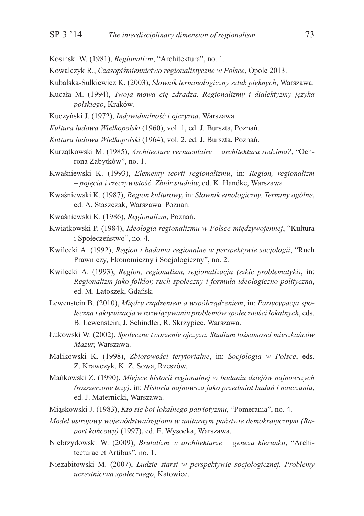- Kosiñski W. (1981), *Regionalizm*, "Architektura", no. 1.
- Kowalczyk R., *Czasopiśmiennictwo regionalistyczne w Polsce*, Opole 2013.
- Kubalska-Sulkiewicz K. (2003), *S³ownik terminologiczny sztuk piêknych*, Warszawa.
- Kuca³a M. (1994), *Twoja mowa ciê zdradza. Regionalizmy i dialektyzmy jêzyka polskiego*, Kraków.
- Kuczyński J. (1972), *Indywidualność i ojczyzna*, Warszawa.
- *Kultura ludowa Wielkopolski* (1960), vol. 1, ed. J. Burszta, Poznañ.
- *Kultura ludowa Wielkopolski* (1964), vol. 2, ed. J. Burszta, Poznañ.
- Kurzatkowski M. (1985), *Architecture vernaculaire = architektura rodzima?*, "Ochrona Zabytków", no. 1.
- Kwaœniewski K. (1993), *Elementy teorii regionalizmu*, in: *Region, regionalizm – pojêcia i rzeczywistoœæ. Zbiór studiów*, ed. K. Handke, Warszawa.
- Kwaœniewski K. (1987), *Region kulturowy*, in: *S³ownik etnologiczny. Terminy ogólne*, ed. A. Staszczak, Warszawa–Poznañ.
- Kwaœniewski K. (1986), *Regionalizm*, Poznañ.
- Kwiatkowski P. (1984), *Ideologia regionalizmu w Polsce miêdzywojennej*, "Kultura i Społeczeństwo", no. 4.
- Kwilecki A. (1992), *Region i badania regionalne w perspektywie socjologii*, "Ruch Prawniczy, Ekonomiczny i Socjologiczny", no. 2.
- Kwilecki A. (1993), *Region, regionalizm, regionalizacja (szkic problematyki)*, in: *Regionalizm jako folklor, ruch spo³eczny i formu³a ideologiczno-polityczna*, ed. M. Latoszek, Gdañsk.
- Lewenstein B. (2010), *Miêdzy rz¹dzeniem a wspó³rz¹dzeniem*, in: *Partycypacja spo- ³eczna i aktywizacja w rozwi¹zywaniu problemów spo³ecznoœci lokalnych*, eds. B. Lewenstein, J. Schindler, R. Skrzypiec, Warszawa.
- £ukowski W. (2002), *Spo³eczne tworzenie ojczyzn. Studium to¿samoœci mieszkañców Mazur*, Warszawa.
- Malikowski K. (1998), *Zbiorowoœci terytorialne*, in: *Socjologia w Polsce*, eds. Z. Krawczyk, K. Z. Sowa, Rzeszów.
- Mañkowski Z. (1990), *Miejsce historii regionalnej w badaniu dziejów najnowszych (rozszerzone tezy)*, in: *Historia najnowsza jako przedmiot badañ i nauczania*, ed. J. Maternicki, Warszawa.
- Mi¹skowski J. (1983), *Kto siê boi lokalnego patriotyzmu*, "Pomerania", no. 4.
- *Model ustrojowy województwa/regionu w unitarnym pañstwie demokratycznym (Raport koñcowy)* (1997), ed. E. Wysocka, Warszawa.
- Niebrzydowski W. (2009), *Brutalizm w architekturze geneza kierunku*, "Architecturae et Artibus", no. 1.
- Niezabitowski M. (2007), *Ludzie starsi w perspektywie socjologicznej. Problemy uczestnictwa spo³ecznego*, Katowice.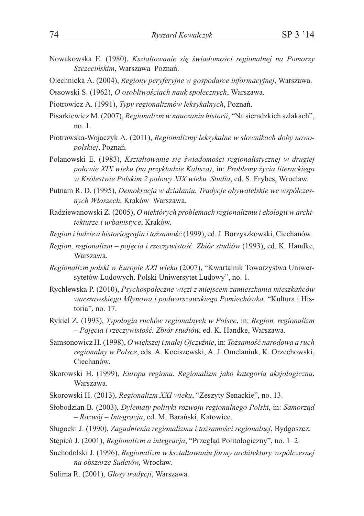- Nowakowska E. (1980), *Kształtowanie się świadomości regionalnej na Pomorzy Szczeciñskim*, Warszawa–Poznañ.
- Olechnicka A. (2004), *Regiony peryferyjne w gospodarce informacyjnej*, Warszawa.
- Ossowski S. (1962), *O osobliwościach nauk społecznych*, Warszawa.
- Piotrowicz A. (1991), *Typy regionalizmów leksykalnych*, Poznañ.
- Pisarkiewicz M. (2007), *Regionalizm w nauczaniu historii*, "Na sieradzkich szlakach", no. 1.
- Piotrowska-Wojaczyk A. (2011), *Regionalizmy leksykalne w słownikach doby nowopolskiej*, Poznañ.
- Polanowski E. (1983), *Kształtowanie się świadomości regionalistycznej w drugiej po³owie XIX wieku (na przyk³adzie Kalisza)*, in: *Problemy ¿ycia literackiego w Królestwie Polskim 2 po³owy XIX wieku. Studia*, ed. S. Frybes, Wroc³aw.
- Putnam R. D. (1995), *Demokracja w działaniu. Tradycje obywatelskie we współczesnych W³oszech*, Kraków–Warszawa.
- Radziewanowski Z. (2005), *O niektórych problemach regionalizmu i ekologii w architekturze i urbanistyce*, Kraków.
- *Region i ludzie a historiografia i to¿samoœæ* (1999), ed. J. Borzyszkowski, Ciechanów.
- *Region, regionalizm pojecia i rzeczywistość. Zbiór studiów* (1993), ed. K. Handke, Warszawa.
- *Regionalizm polski w Europie XXI wieku* (2007), "Kwartalnik Towarzystwa Uniwersytetów Ludowych. Polski Uniwersytet Ludowy", no. 1.
- Rychlewska P. (2010), *Psychospo³eczne wiêzi z miejscem zamieszkania mieszkañców warszawskiego M³ynowa i podwarszawskiego Pomiechówka*, "Kultura i Historia", no. 17.
- Rykiel Z. (1993), *Typologia ruchów regionalnych w Polsce*, in: *Region, regionalizm – Pojêcia i rzeczywistoœæ. Zbiór studiów*, ed. K. Handke, Warszawa.
- Samsonowicz H. (1998), *O większej i małej Ojczyźnie*, in: *Tożsamość narodowa a ruch regionalny w Polsce*, eds. A. Kociszewski, A. J. Omelaniuk, K. Orzechowski, Ciechanów.
- Skorowski H. (1999), *Europa regionu. Regionalizm jako kategoria aksjologiczna*, Warszawa.
- Skorowski H. (2013), *Regionalizm XXI wieku*, "Zeszyty Senackie", no. 13.
- Słobodzian B. (2003), *Dylematy polityki rozwoju regionalnego Polski*, in: *Samorzad – Rozwój – Integracja*, ed. M. Barañski, Katowice.
- Sługocki J. (1990), *Zagadnienia regionalizmu i tożsamości regionalnej*, Bydgoszcz.
- Stępień J. (2001), *Regionalizm a integracja*, "Przegląd Politologiczny", no. 1-2.
- Suchodolski J. (1996), *Regionalizm w kształtowaniu formy architektury współczesnej na obszarze Sudetów*, Wroc³aw.
- Sulima R. (2001), *Głosy tradycji*, Warszawa.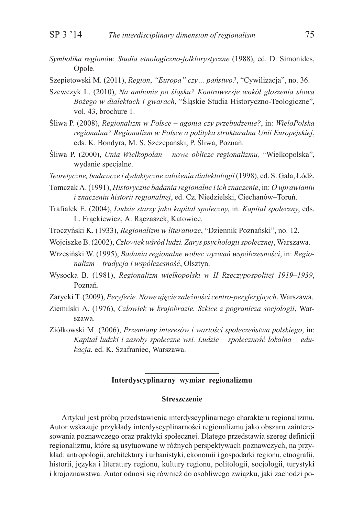- *Symbolika regionów. Studia etnologiczno-folklorystyczne* (1988), ed. D. Simonides, Opole.
- Szepietowski M. (2011), *Region*, *"Europa" czy… pañstwo?*, "Cywilizacja", no. 36.
- Szewczyk L. (2010), Na ambonie po śląsku? Kontrowersje wokół głoszenia słowa *Bo¿ego w dialektach i gwarach*, "Œl¹skie Studia Historyczno-Teologiczne", vol. 43, brochure 1.
- Œliwa P. (2008), *Regionalizm w Polsce agonia czy przebudzenie?*, in: *WieloPolska regionalna? Regionalizm w Polsce a polityka strukturalna Unii Europejskiej*, eds. K. Bondyra, M. S. Szczepański, P. Śliwa, Poznań.
- Œliwa P. (2000), *Unia Wielkopolan nowe oblicze regionalizmu,* "Wielkopolska", wydanie specjalne.
- *Teoretyczne, badawcze i dydaktyczne założenia dialektologii* (1998), ed. S. Gala, Łódź.
- Tomczak A. (1991), *Historyczne badania regionalne i ich znaczenie*, in: *O uprawianiu i znaczeniu historii regionalnej*, ed. Cz. Niedzielski, Ciechanów–Toruñ.
- Trafiałek E. (2004), *Ludzie starzy jako kapitał społeczny*, in: *Kapitał społeczny*, eds. L. Frackiewicz, A. Raczaszek, Katowice.
- Troczyñski K. (1933), *Regionalizm w literaturze*, "Dziennik Poznañski", no. 12.
- Wojciszke B. (2002), *Cz³owiek wœród ludzi. Zarys psychologii spo³ecznej*, Warszawa.
- Wrzesiński W. (1995), *Badania regionalne wobec wyzwań współczesności*, in: *Regio* $n$ alizm – tradycja i współczesność, Olsztyn.
- Wysocka B. (1981), *Regionalizm wielkopolski w II Rzeczypospolitej 1919–1939*, Poznañ.
- Zarycki T. (2009), Peryferie. Nowe ujęcie zależności centro-peryferyjnych, Warszawa.
- Ziemilski A. (1976), *Człowiek w krajobrazie. Szkice z pogranicza socjologii*, Warszawa.
- Ziółkowski M. (2006), Przemiany interesów i wartości społeczeństwa polskiego, in: Kapitał ludzki i zasoby społeczne wsi. Ludzie – społeczność lokalna – edu*kacja*, ed. K. Szafraniec, Warszawa.

## **Interdyscyplinarny wymiar regionalizmu**

## **Streszczenie**

Artykuł jest próbą przedstawienia interdyscyplinarnego charakteru regionalizmu. Autor wskazuje przykłady interdyscyplinarności regionalizmu jako obszaru zainteresowania poznawczego oraz praktyki społecznej. Dlatego przedstawia szereg definicji regionalizmu, które są usytuowane w różnych perspektywach poznawczych, na przykład: antropologii, architektury i urbanistyki, ekonomii i gospodarki regionu, etnografii, historii, języka i literatury regionu, kultury regionu, politologii, socjologii, turystyki i krajoznawstwa. Autor odnosi się również do osobliwego związku, jaki zachodzi po-